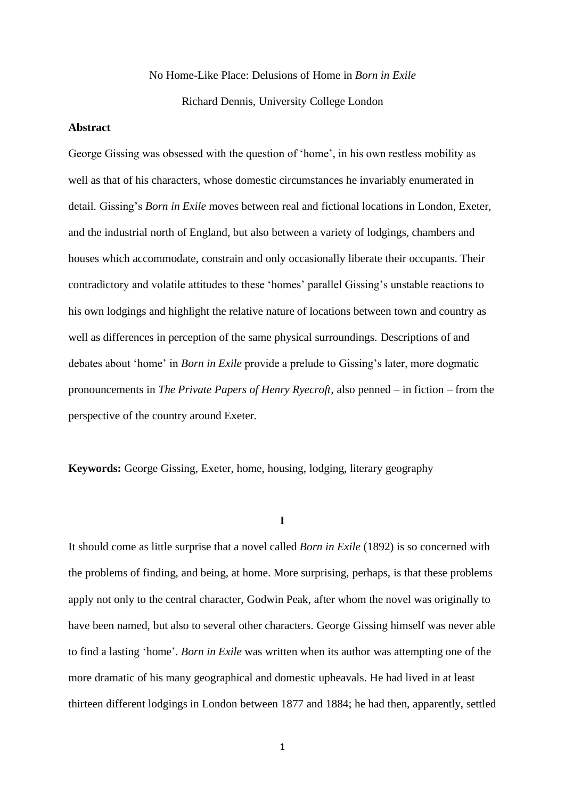# No Home-Like Place: Delusions of Home in *Born in Exile* Richard Dennis, University College London

#### **Abstract**

George Gissing was obsessed with the question of 'home', in his own restless mobility as well as that of his characters, whose domestic circumstances he invariably enumerated in detail. Gissing's *Born in Exile* moves between real and fictional locations in London, Exeter, and the industrial north of England, but also between a variety of lodgings, chambers and houses which accommodate, constrain and only occasionally liberate their occupants. Their contradictory and volatile attitudes to these 'homes' parallel Gissing's unstable reactions to his own lodgings and highlight the relative nature of locations between town and country as well as differences in perception of the same physical surroundings. Descriptions of and debates about 'home' in *Born in Exile* provide a prelude to Gissing's later, more dogmatic pronouncements in *The Private Papers of Henry Ryecroft*, also penned – in fiction – from the perspective of the country around Exeter.

**Keywords:** George Gissing, Exeter, home, housing, lodging, literary geography

**I**

It should come as little surprise that a novel called *Born in Exile* (1892) is so concerned with the problems of finding, and being, at home. More surprising, perhaps, is that these problems apply not only to the central character, Godwin Peak, after whom the novel was originally to have been named, but also to several other characters. George Gissing himself was never able to find a lasting 'home'. *Born in Exile* was written when its author was attempting one of the more dramatic of his many geographical and domestic upheavals. He had lived in at least thirteen different lodgings in London between 1877 and 1884; he had then, apparently, settled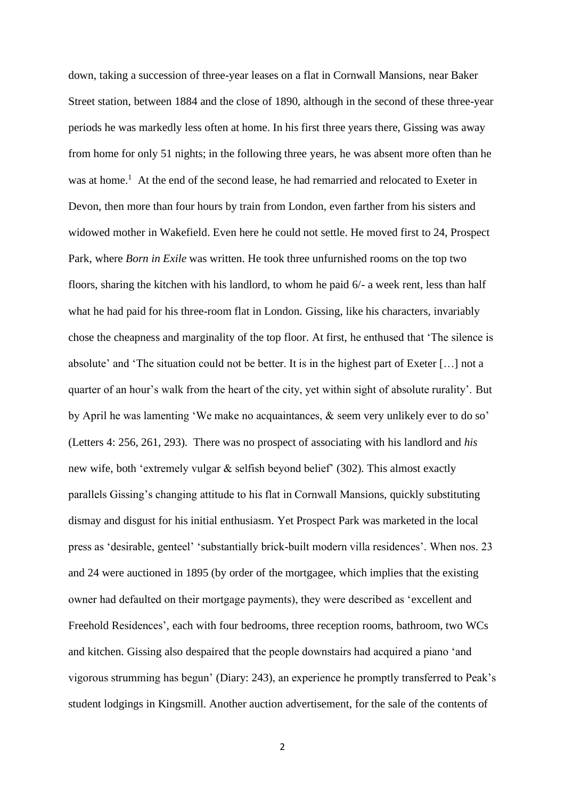down, taking a succession of three-year leases on a flat in Cornwall Mansions, near Baker Street station, between 1884 and the close of 1890, although in the second of these three-year periods he was markedly less often at home. In his first three years there, Gissing was away from home for only 51 nights; in the following three years, he was absent more often than he was at home.<sup>1</sup> At the end of the second lease, he had remarried and relocated to Exeter in Devon, then more than four hours by train from London, even farther from his sisters and widowed mother in Wakefield. Even here he could not settle. He moved first to 24, Prospect Park, where *Born in Exile* was written. He took three unfurnished rooms on the top two floors, sharing the kitchen with his landlord, to whom he paid 6/- a week rent, less than half what he had paid for his three-room flat in London. Gissing, like his characters, invariably chose the cheapness and marginality of the top floor. At first, he enthused that 'The silence is absolute' and 'The situation could not be better. It is in the highest part of Exeter […] not a quarter of an hour's walk from the heart of the city, yet within sight of absolute rurality'. But by April he was lamenting 'We make no acquaintances, & seem very unlikely ever to do so' (Letters 4: 256, 261, 293). There was no prospect of associating with his landlord and *his*  new wife, both 'extremely vulgar & selfish beyond belief' (302). This almost exactly parallels Gissing's changing attitude to his flat in Cornwall Mansions, quickly substituting dismay and disgust for his initial enthusiasm. Yet Prospect Park was marketed in the local press as 'desirable, genteel' 'substantially brick-built modern villa residences'. When nos. 23 and 24 were auctioned in 1895 (by order of the mortgagee, which implies that the existing owner had defaulted on their mortgage payments), they were described as 'excellent and Freehold Residences', each with four bedrooms, three reception rooms, bathroom, two WCs and kitchen. Gissing also despaired that the people downstairs had acquired a piano 'and vigorous strumming has begun' (Diary: 243), an experience he promptly transferred to Peak's student lodgings in Kingsmill. Another auction advertisement, for the sale of the contents of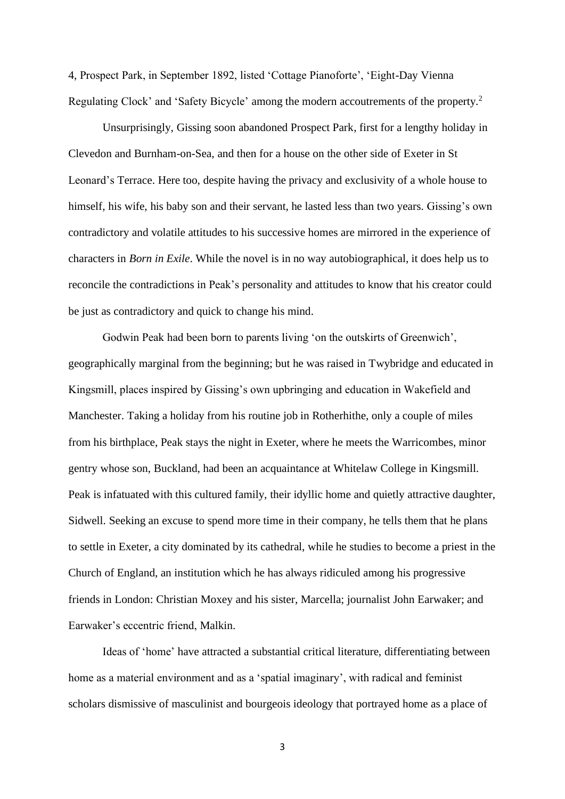4, Prospect Park, in September 1892, listed 'Cottage Pianoforte', 'Eight-Day Vienna Regulating Clock' and 'Safety Bicycle' among the modern accoutrements of the property.<sup>2</sup>

Unsurprisingly, Gissing soon abandoned Prospect Park, first for a lengthy holiday in Clevedon and Burnham-on-Sea, and then for a house on the other side of Exeter in St Leonard's Terrace. Here too, despite having the privacy and exclusivity of a whole house to himself, his wife, his baby son and their servant, he lasted less than two years. Gissing's own contradictory and volatile attitudes to his successive homes are mirrored in the experience of characters in *Born in Exile*. While the novel is in no way autobiographical, it does help us to reconcile the contradictions in Peak's personality and attitudes to know that his creator could be just as contradictory and quick to change his mind.

Godwin Peak had been born to parents living 'on the outskirts of Greenwich', geographically marginal from the beginning; but he was raised in Twybridge and educated in Kingsmill, places inspired by Gissing's own upbringing and education in Wakefield and Manchester. Taking a holiday from his routine job in Rotherhithe, only a couple of miles from his birthplace, Peak stays the night in Exeter, where he meets the Warricombes, minor gentry whose son, Buckland, had been an acquaintance at Whitelaw College in Kingsmill. Peak is infatuated with this cultured family, their idyllic home and quietly attractive daughter, Sidwell. Seeking an excuse to spend more time in their company, he tells them that he plans to settle in Exeter, a city dominated by its cathedral, while he studies to become a priest in the Church of England, an institution which he has always ridiculed among his progressive friends in London: Christian Moxey and his sister, Marcella; journalist John Earwaker; and Earwaker's eccentric friend, Malkin.

Ideas of 'home' have attracted a substantial critical literature, differentiating between home as a material environment and as a 'spatial imaginary', with radical and feminist scholars dismissive of masculinist and bourgeois ideology that portrayed home as a place of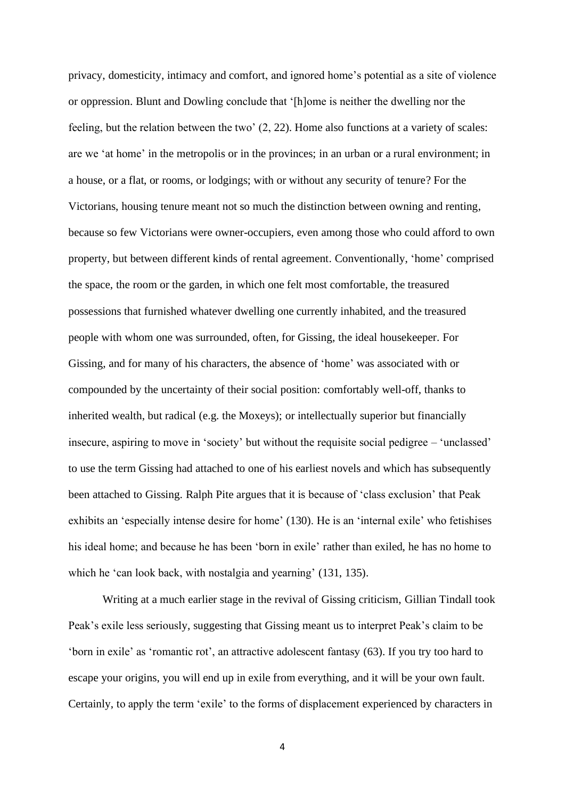privacy, domesticity, intimacy and comfort, and ignored home's potential as a site of violence or oppression. Blunt and Dowling conclude that '[h]ome is neither the dwelling nor the feeling, but the relation between the two' (2, 22). Home also functions at a variety of scales: are we 'at home' in the metropolis or in the provinces; in an urban or a rural environment; in a house, or a flat, or rooms, or lodgings; with or without any security of tenure? For the Victorians, housing tenure meant not so much the distinction between owning and renting, because so few Victorians were owner-occupiers, even among those who could afford to own property, but between different kinds of rental agreement. Conventionally, 'home' comprised the space, the room or the garden, in which one felt most comfortable, the treasured possessions that furnished whatever dwelling one currently inhabited, and the treasured people with whom one was surrounded, often, for Gissing, the ideal housekeeper. For Gissing, and for many of his characters, the absence of 'home' was associated with or compounded by the uncertainty of their social position: comfortably well-off, thanks to inherited wealth, but radical (e.g. the Moxeys); or intellectually superior but financially insecure, aspiring to move in 'society' but without the requisite social pedigree – 'unclassed' to use the term Gissing had attached to one of his earliest novels and which has subsequently been attached to Gissing. Ralph Pite argues that it is because of 'class exclusion' that Peak exhibits an 'especially intense desire for home' (130). He is an 'internal exile' who fetishises his ideal home; and because he has been 'born in exile' rather than exiled, he has no home to which he 'can look back, with nostalgia and yearning' (131, 135).

Writing at a much earlier stage in the revival of Gissing criticism, Gillian Tindall took Peak's exile less seriously, suggesting that Gissing meant us to interpret Peak's claim to be 'born in exile' as 'romantic rot', an attractive adolescent fantasy (63). If you try too hard to escape your origins, you will end up in exile from everything, and it will be your own fault. Certainly, to apply the term 'exile' to the forms of displacement experienced by characters in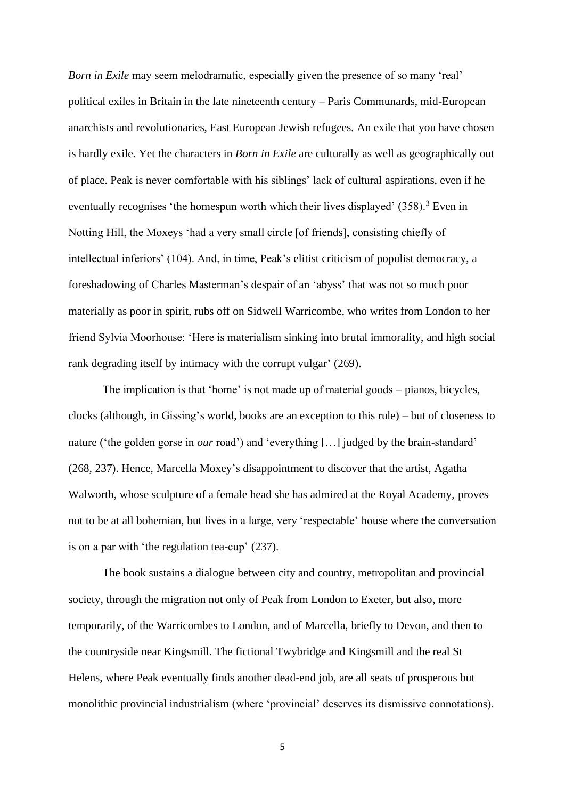*Born in Exile* may seem melodramatic, especially given the presence of so many 'real' political exiles in Britain in the late nineteenth century – Paris Communards, mid-European anarchists and revolutionaries, East European Jewish refugees. An exile that you have chosen is hardly exile. Yet the characters in *Born in Exile* are culturally as well as geographically out of place. Peak is never comfortable with his siblings' lack of cultural aspirations, even if he eventually recognises 'the homespun worth which their lives displayed'  $(358)$ .<sup>3</sup> Even in Notting Hill, the Moxeys 'had a very small circle [of friends], consisting chiefly of intellectual inferiors' (104). And, in time, Peak's elitist criticism of populist democracy, a foreshadowing of Charles Masterman's despair of an 'abyss' that was not so much poor materially as poor in spirit, rubs off on Sidwell Warricombe, who writes from London to her friend Sylvia Moorhouse: 'Here is materialism sinking into brutal immorality, and high social rank degrading itself by intimacy with the corrupt vulgar' (269).

The implication is that 'home' is not made up of material goods – pianos, bicycles, clocks (although, in Gissing's world, books are an exception to this rule) – but of closeness to nature ('the golden gorse in *our* road') and 'everything […] judged by the brain-standard' (268, 237). Hence, Marcella Moxey's disappointment to discover that the artist, Agatha Walworth, whose sculpture of a female head she has admired at the Royal Academy, proves not to be at all bohemian, but lives in a large, very 'respectable' house where the conversation is on a par with 'the regulation tea-cup' (237).

The book sustains a dialogue between city and country, metropolitan and provincial society, through the migration not only of Peak from London to Exeter, but also, more temporarily, of the Warricombes to London, and of Marcella, briefly to Devon, and then to the countryside near Kingsmill. The fictional Twybridge and Kingsmill and the real St Helens, where Peak eventually finds another dead-end job, are all seats of prosperous but monolithic provincial industrialism (where 'provincial' deserves its dismissive connotations).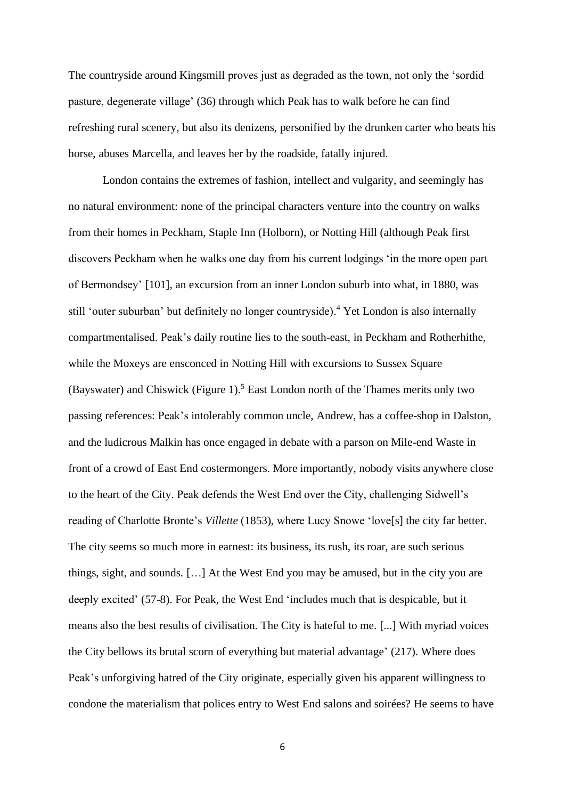The countryside around Kingsmill proves just as degraded as the town, not only the 'sordid pasture, degenerate village' (36) through which Peak has to walk before he can find refreshing rural scenery, but also its denizens, personified by the drunken carter who beats his horse, abuses Marcella, and leaves her by the roadside, fatally injured.

London contains the extremes of fashion, intellect and vulgarity, and seemingly has no natural environment: none of the principal characters venture into the country on walks from their homes in Peckham, Staple Inn (Holborn), or Notting Hill (although Peak first discovers Peckham when he walks one day from his current lodgings 'in the more open part of Bermondsey' [101], an excursion from an inner London suburb into what, in 1880, was still 'outer suburban' but definitely no longer countryside). <sup>4</sup> Yet London is also internally compartmentalised. Peak's daily routine lies to the south-east, in Peckham and Rotherhithe, while the Moxeys are ensconced in Notting Hill with excursions to Sussex Square (Bayswater) and Chiswick (Figure 1).<sup>5</sup> East London north of the Thames merits only two passing references: Peak's intolerably common uncle, Andrew, has a coffee-shop in Dalston, and the ludicrous Malkin has once engaged in debate with a parson on Mile-end Waste in front of a crowd of East End costermongers. More importantly, nobody visits anywhere close to the heart of the City. Peak defends the West End over the City, challenging Sidwell's reading of Charlotte Bronte's *Villette* (1853), where Lucy Snowe 'love[s] the city far better. The city seems so much more in earnest: its business, its rush, its roar, are such serious things, sight, and sounds. […] At the West End you may be amused, but in the city you are deeply excited' (57-8). For Peak, the West End 'includes much that is despicable, but it means also the best results of civilisation. The City is hateful to me. [...] With myriad voices the City bellows its brutal scorn of everything but material advantage' (217). Where does Peak's unforgiving hatred of the City originate, especially given his apparent willingness to condone the materialism that polices entry to West End salons and soirées? He seems to have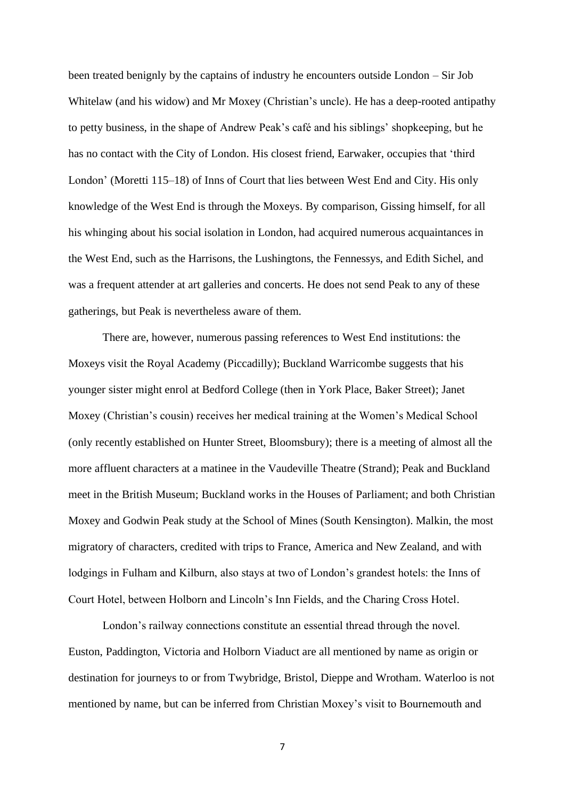been treated benignly by the captains of industry he encounters outside London – Sir Job Whitelaw (and his widow) and Mr Moxey (Christian's uncle). He has a deep-rooted antipathy to petty business, in the shape of Andrew Peak's café and his siblings' shopkeeping, but he has no contact with the City of London. His closest friend, Earwaker, occupies that 'third London' (Moretti 115–18) of Inns of Court that lies between West End and City. His only knowledge of the West End is through the Moxeys. By comparison, Gissing himself, for all his whinging about his social isolation in London, had acquired numerous acquaintances in the West End, such as the Harrisons, the Lushingtons, the Fennessys, and Edith Sichel, and was a frequent attender at art galleries and concerts. He does not send Peak to any of these gatherings, but Peak is nevertheless aware of them.

There are, however, numerous passing references to West End institutions: the Moxeys visit the Royal Academy (Piccadilly); Buckland Warricombe suggests that his younger sister might enrol at Bedford College (then in York Place, Baker Street); Janet Moxey (Christian's cousin) receives her medical training at the Women's Medical School (only recently established on Hunter Street, Bloomsbury); there is a meeting of almost all the more affluent characters at a matinee in the Vaudeville Theatre (Strand); Peak and Buckland meet in the British Museum; Buckland works in the Houses of Parliament; and both Christian Moxey and Godwin Peak study at the School of Mines (South Kensington). Malkin, the most migratory of characters, credited with trips to France, America and New Zealand, and with lodgings in Fulham and Kilburn, also stays at two of London's grandest hotels: the Inns of Court Hotel, between Holborn and Lincoln's Inn Fields, and the Charing Cross Hotel.

London's railway connections constitute an essential thread through the novel. Euston, Paddington, Victoria and Holborn Viaduct are all mentioned by name as origin or destination for journeys to or from Twybridge, Bristol, Dieppe and Wrotham. Waterloo is not mentioned by name, but can be inferred from Christian Moxey's visit to Bournemouth and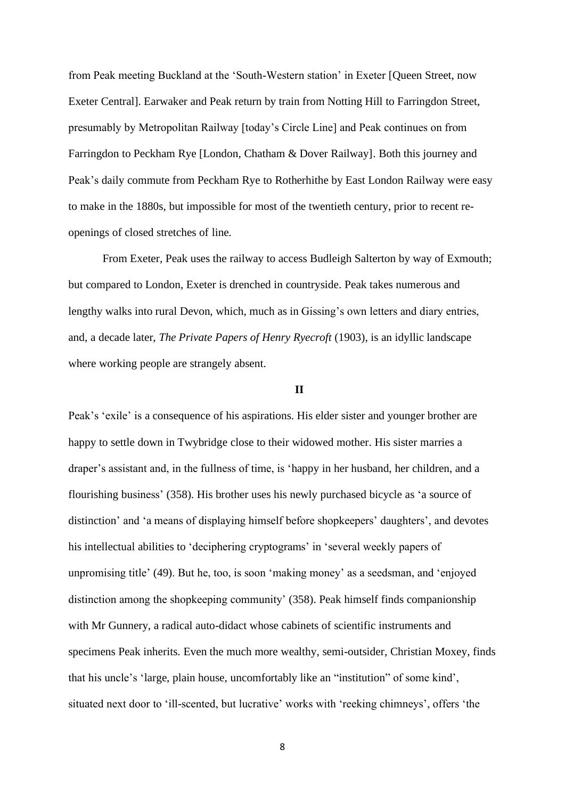from Peak meeting Buckland at the 'South-Western station' in Exeter [Queen Street, now Exeter Central]. Earwaker and Peak return by train from Notting Hill to Farringdon Street, presumably by Metropolitan Railway [today's Circle Line] and Peak continues on from Farringdon to Peckham Rye [London, Chatham & Dover Railway]. Both this journey and Peak's daily commute from Peckham Rye to Rotherhithe by East London Railway were easy to make in the 1880s, but impossible for most of the twentieth century, prior to recent reopenings of closed stretches of line.

From Exeter, Peak uses the railway to access Budleigh Salterton by way of Exmouth; but compared to London, Exeter is drenched in countryside. Peak takes numerous and lengthy walks into rural Devon, which, much as in Gissing's own letters and diary entries, and, a decade later, *The Private Papers of Henry Ryecroft* (1903), is an idyllic landscape where working people are strangely absent.

## **II**

Peak's 'exile' is a consequence of his aspirations. His elder sister and younger brother are happy to settle down in Twybridge close to their widowed mother. His sister marries a draper's assistant and, in the fullness of time, is 'happy in her husband, her children, and a flourishing business' (358). His brother uses his newly purchased bicycle as 'a source of distinction' and 'a means of displaying himself before shopkeepers' daughters', and devotes his intellectual abilities to 'deciphering cryptograms' in 'several weekly papers of unpromising title' (49). But he, too, is soon 'making money' as a seedsman, and 'enjoyed distinction among the shopkeeping community' (358). Peak himself finds companionship with Mr Gunnery, a radical auto-didact whose cabinets of scientific instruments and specimens Peak inherits. Even the much more wealthy, semi-outsider, Christian Moxey, finds that his uncle's 'large, plain house, uncomfortably like an "institution" of some kind', situated next door to 'ill-scented, but lucrative' works with 'reeking chimneys', offers 'the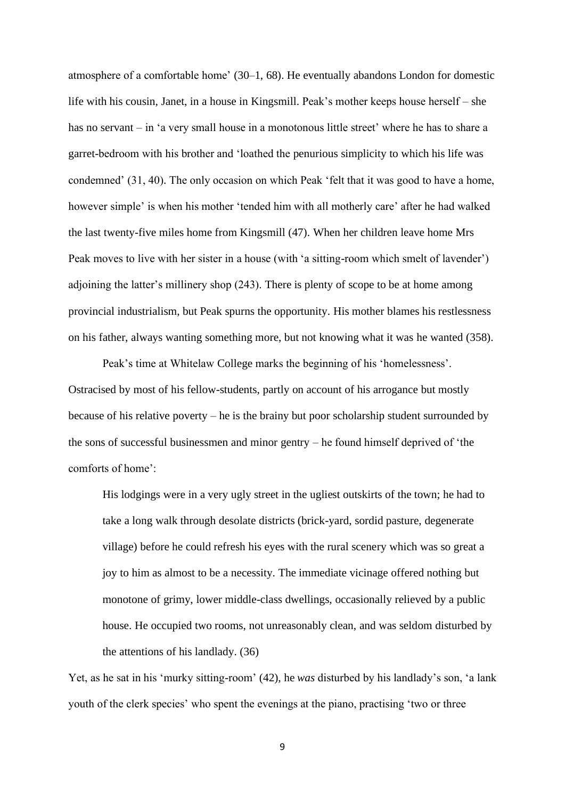atmosphere of a comfortable home' (30–1, 68). He eventually abandons London for domestic life with his cousin, Janet, in a house in Kingsmill. Peak's mother keeps house herself – she has no servant – in 'a very small house in a monotonous little street' where he has to share a garret-bedroom with his brother and 'loathed the penurious simplicity to which his life was condemned' (31, 40). The only occasion on which Peak 'felt that it was good to have a home, however simple' is when his mother 'tended him with all motherly care' after he had walked the last twenty-five miles home from Kingsmill (47). When her children leave home Mrs Peak moves to live with her sister in a house (with 'a sitting-room which smelt of lavender') adjoining the latter's millinery shop (243). There is plenty of scope to be at home among provincial industrialism, but Peak spurns the opportunity. His mother blames his restlessness on his father, always wanting something more, but not knowing what it was he wanted (358).

Peak's time at Whitelaw College marks the beginning of his 'homelessness'. Ostracised by most of his fellow-students, partly on account of his arrogance but mostly because of his relative poverty – he is the brainy but poor scholarship student surrounded by the sons of successful businessmen and minor gentry – he found himself deprived of 'the comforts of home':

His lodgings were in a very ugly street in the ugliest outskirts of the town; he had to take a long walk through desolate districts (brick-yard, sordid pasture, degenerate village) before he could refresh his eyes with the rural scenery which was so great a joy to him as almost to be a necessity. The immediate vicinage offered nothing but monotone of grimy, lower middle-class dwellings, occasionally relieved by a public house. He occupied two rooms, not unreasonably clean, and was seldom disturbed by the attentions of his landlady. (36)

Yet, as he sat in his 'murky sitting-room' (42), he *was* disturbed by his landlady's son, 'a lank youth of the clerk species' who spent the evenings at the piano, practising 'two or three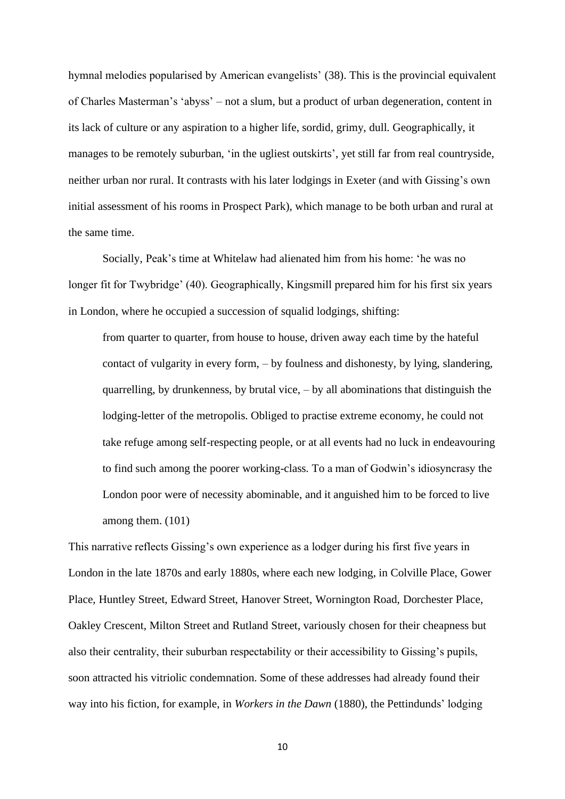hymnal melodies popularised by American evangelists' (38). This is the provincial equivalent of Charles Masterman's 'abyss' – not a slum, but a product of urban degeneration, content in its lack of culture or any aspiration to a higher life, sordid, grimy, dull. Geographically, it manages to be remotely suburban, 'in the ugliest outskirts', yet still far from real countryside, neither urban nor rural. It contrasts with his later lodgings in Exeter (and with Gissing's own initial assessment of his rooms in Prospect Park), which manage to be both urban and rural at the same time.

Socially, Peak's time at Whitelaw had alienated him from his home: 'he was no longer fit for Twybridge' (40). Geographically, Kingsmill prepared him for his first six years in London, where he occupied a succession of squalid lodgings, shifting:

from quarter to quarter, from house to house, driven away each time by the hateful contact of vulgarity in every form, – by foulness and dishonesty, by lying, slandering, quarrelling, by drunkenness, by brutal vice, – by all abominations that distinguish the lodging-letter of the metropolis. Obliged to practise extreme economy, he could not take refuge among self-respecting people, or at all events had no luck in endeavouring to find such among the poorer working-class. To a man of Godwin's idiosyncrasy the London poor were of necessity abominable, and it anguished him to be forced to live among them. (101)

This narrative reflects Gissing's own experience as a lodger during his first five years in London in the late 1870s and early 1880s, where each new lodging, in Colville Place, Gower Place, Huntley Street, Edward Street, Hanover Street, Wornington Road, Dorchester Place, Oakley Crescent, Milton Street and Rutland Street, variously chosen for their cheapness but also their centrality, their suburban respectability or their accessibility to Gissing's pupils, soon attracted his vitriolic condemnation. Some of these addresses had already found their way into his fiction, for example, in *Workers in the Dawn* (1880), the Pettindunds' lodging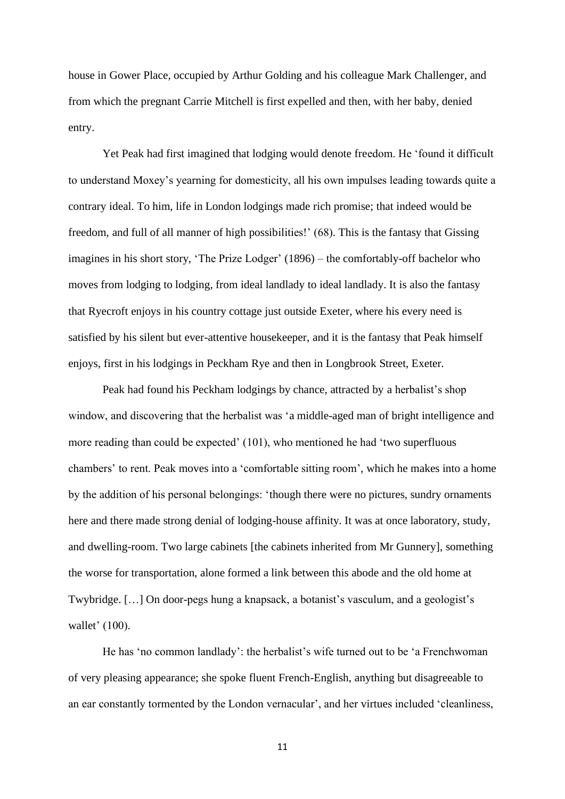house in Gower Place, occupied by Arthur Golding and his colleague Mark Challenger, and from which the pregnant Carrie Mitchell is first expelled and then, with her baby, denied entry.

Yet Peak had first imagined that lodging would denote freedom. He 'found it difficult to understand Moxey's yearning for domesticity, all his own impulses leading towards quite a contrary ideal. To him, life in London lodgings made rich promise; that indeed would be freedom, and full of all manner of high possibilities!' (68). This is the fantasy that Gissing imagines in his short story, 'The Prize Lodger' (1896) – the comfortably-off bachelor who moves from lodging to lodging, from ideal landlady to ideal landlady. It is also the fantasy that Ryecroft enjoys in his country cottage just outside Exeter, where his every need is satisfied by his silent but ever-attentive housekeeper, and it is the fantasy that Peak himself enjoys, first in his lodgings in Peckham Rye and then in Longbrook Street, Exeter.

Peak had found his Peckham lodgings by chance, attracted by a herbalist's shop window, and discovering that the herbalist was 'a middle-aged man of bright intelligence and more reading than could be expected' (101), who mentioned he had 'two superfluous chambers' to rent. Peak moves into a 'comfortable sitting room', which he makes into a home by the addition of his personal belongings: 'though there were no pictures, sundry ornaments here and there made strong denial of lodging-house affinity. It was at once laboratory, study, and dwelling-room. Two large cabinets [the cabinets inherited from Mr Gunnery], something the worse for transportation, alone formed a link between this abode and the old home at Twybridge. […] On door-pegs hung a knapsack, a botanist's vasculum, and a geologist's wallet' (100).

He has 'no common landlady': the herbalist's wife turned out to be 'a Frenchwoman of very pleasing appearance; she spoke fluent French-English, anything but disagreeable to an ear constantly tormented by the London vernacular', and her virtues included 'cleanliness,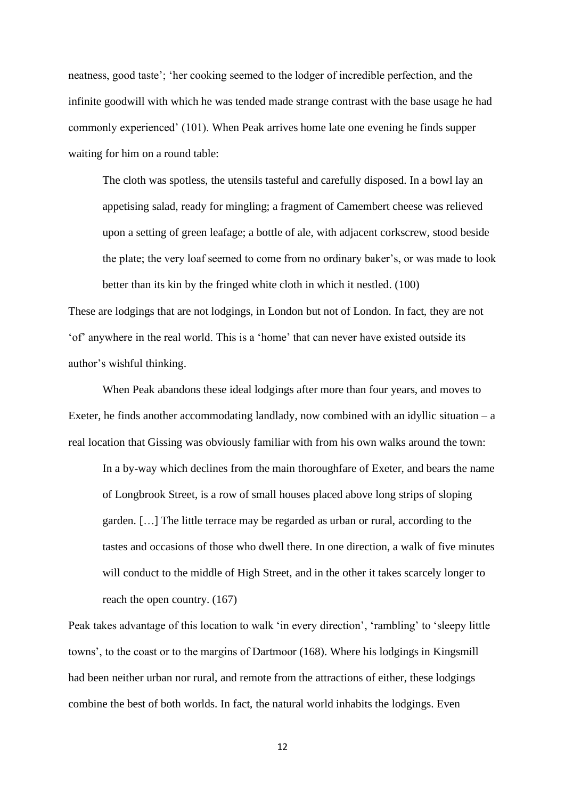neatness, good taste'; 'her cooking seemed to the lodger of incredible perfection, and the infinite goodwill with which he was tended made strange contrast with the base usage he had commonly experienced' (101). When Peak arrives home late one evening he finds supper waiting for him on a round table:

The cloth was spotless, the utensils tasteful and carefully disposed. In a bowl lay an appetising salad, ready for mingling; a fragment of Camembert cheese was relieved upon a setting of green leafage; a bottle of ale, with adjacent corkscrew, stood beside the plate; the very loaf seemed to come from no ordinary baker's, or was made to look better than its kin by the fringed white cloth in which it nestled. (100)

These are lodgings that are not lodgings, in London but not of London. In fact, they are not 'of' anywhere in the real world. This is a 'home' that can never have existed outside its author's wishful thinking.

When Peak abandons these ideal lodgings after more than four years, and moves to Exeter, he finds another accommodating landlady, now combined with an idyllic situation  $-$  a real location that Gissing was obviously familiar with from his own walks around the town:

In a by-way which declines from the main thoroughfare of Exeter, and bears the name of Longbrook Street, is a row of small houses placed above long strips of sloping garden. […] The little terrace may be regarded as urban or rural, according to the tastes and occasions of those who dwell there. In one direction, a walk of five minutes will conduct to the middle of High Street, and in the other it takes scarcely longer to reach the open country. (167)

Peak takes advantage of this location to walk 'in every direction', 'rambling' to 'sleepy little towns', to the coast or to the margins of Dartmoor (168). Where his lodgings in Kingsmill had been neither urban nor rural, and remote from the attractions of either, these lodgings combine the best of both worlds. In fact, the natural world inhabits the lodgings. Even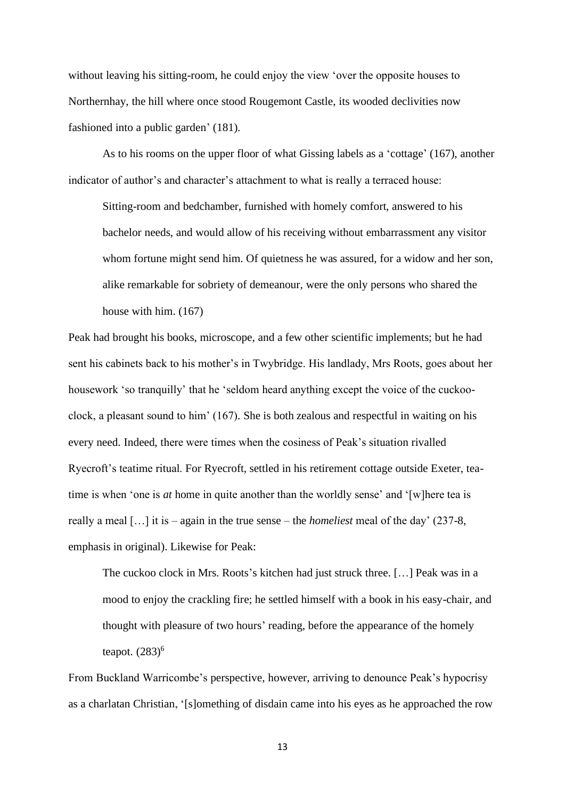without leaving his sitting-room, he could enjoy the view 'over the opposite houses to Northernhay, the hill where once stood Rougemont Castle, its wooded declivities now fashioned into a public garden' (181).

As to his rooms on the upper floor of what Gissing labels as a 'cottage' (167), another indicator of author's and character's attachment to what is really a terraced house:

Sitting-room and bedchamber, furnished with homely comfort, answered to his bachelor needs, and would allow of his receiving without embarrassment any visitor whom fortune might send him. Of quietness he was assured, for a widow and her son, alike remarkable for sobriety of demeanour, were the only persons who shared the house with him. (167)

Peak had brought his books, microscope, and a few other scientific implements; but he had sent his cabinets back to his mother's in Twybridge. His landlady, Mrs Roots, goes about her housework 'so tranquilly' that he 'seldom heard anything except the voice of the cuckooclock, a pleasant sound to him' (167). She is both zealous and respectful in waiting on his every need. Indeed, there were times when the cosiness of Peak's situation rivalled Ryecroft's teatime ritual. For Ryecroft, settled in his retirement cottage outside Exeter, teatime is when 'one is *at* home in quite another than the worldly sense' and '[w]here tea is really a meal […] it is – again in the true sense – the *homeliest* meal of the day' (237-8, emphasis in original). Likewise for Peak:

The cuckoo clock in Mrs. Roots's kitchen had just struck three. […] Peak was in a mood to enjoy the crackling fire; he settled himself with a book in his easy-chair, and thought with pleasure of two hours' reading, before the appearance of the homely teapot.  $(283)^6$ 

From Buckland Warricombe's perspective, however, arriving to denounce Peak's hypocrisy as a charlatan Christian, '[s]omething of disdain came into his eyes as he approached the row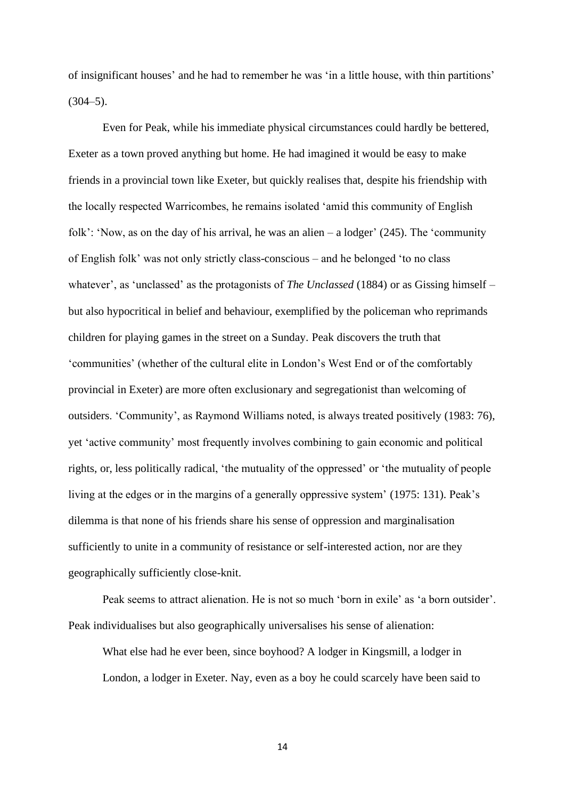of insignificant houses' and he had to remember he was 'in a little house, with thin partitions'  $(304-5)$ .

Even for Peak, while his immediate physical circumstances could hardly be bettered, Exeter as a town proved anything but home. He had imagined it would be easy to make friends in a provincial town like Exeter, but quickly realises that, despite his friendship with the locally respected Warricombes, he remains isolated 'amid this community of English folk': 'Now, as on the day of his arrival, he was an alien – a lodger' (245). The 'community of English folk' was not only strictly class-conscious – and he belonged 'to no class whatever', as 'unclassed' as the protagonists of *The Unclassed* (1884) or as Gissing himself – but also hypocritical in belief and behaviour, exemplified by the policeman who reprimands children for playing games in the street on a Sunday. Peak discovers the truth that 'communities' (whether of the cultural elite in London's West End or of the comfortably provincial in Exeter) are more often exclusionary and segregationist than welcoming of outsiders. 'Community', as Raymond Williams noted, is always treated positively (1983: 76), yet 'active community' most frequently involves combining to gain economic and political rights, or, less politically radical, 'the mutuality of the oppressed' or 'the mutuality of people living at the edges or in the margins of a generally oppressive system' (1975: 131). Peak's dilemma is that none of his friends share his sense of oppression and marginalisation sufficiently to unite in a community of resistance or self-interested action, nor are they geographically sufficiently close-knit.

Peak seems to attract alienation. He is not so much 'born in exile' as 'a born outsider'. Peak individualises but also geographically universalises his sense of alienation:

What else had he ever been, since boyhood? A lodger in Kingsmill, a lodger in London, a lodger in Exeter. Nay, even as a boy he could scarcely have been said to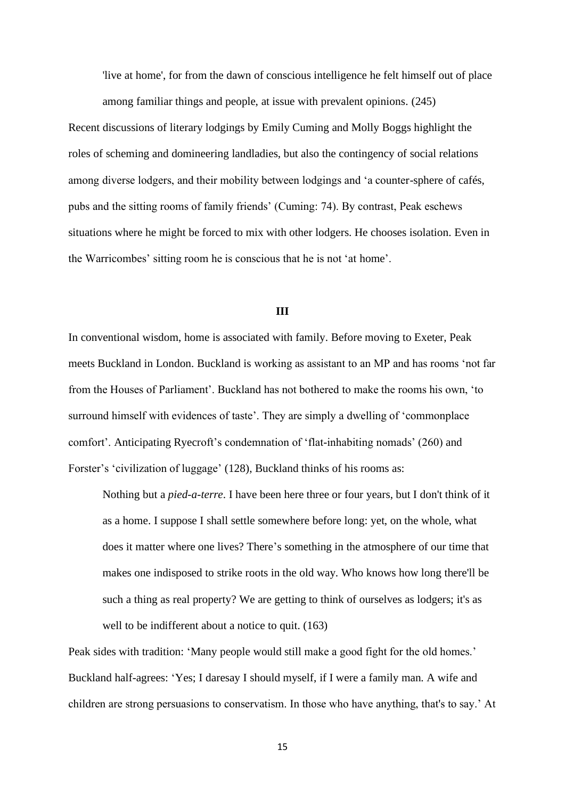'live at home', for from the dawn of conscious intelligence he felt himself out of place among familiar things and people, at issue with prevalent opinions. (245)

Recent discussions of literary lodgings by Emily Cuming and Molly Boggs highlight the roles of scheming and domineering landladies, but also the contingency of social relations among diverse lodgers, and their mobility between lodgings and 'a counter-sphere of cafés, pubs and the sitting rooms of family friends' (Cuming: 74). By contrast, Peak eschews situations where he might be forced to mix with other lodgers. He chooses isolation. Even in the Warricombes' sitting room he is conscious that he is not 'at home'.

#### **III**

In conventional wisdom, home is associated with family. Before moving to Exeter, Peak meets Buckland in London. Buckland is working as assistant to an MP and has rooms 'not far from the Houses of Parliament'. Buckland has not bothered to make the rooms his own, 'to surround himself with evidences of taste'. They are simply a dwelling of 'commonplace comfort'. Anticipating Ryecroft's condemnation of 'flat-inhabiting nomads' (260) and Forster's 'civilization of luggage' (128), Buckland thinks of his rooms as:

Nothing but a *pied-a-terre*. I have been here three or four years, but I don't think of it as a home. I suppose I shall settle somewhere before long: yet, on the whole, what does it matter where one lives? There's something in the atmosphere of our time that makes one indisposed to strike roots in the old way. Who knows how long there'll be such a thing as real property? We are getting to think of ourselves as lodgers; it's as well to be indifferent about a notice to quit. (163)

Peak sides with tradition: 'Many people would still make a good fight for the old homes.' Buckland half-agrees: 'Yes; I daresay I should myself, if I were a family man. A wife and children are strong persuasions to conservatism. In those who have anything, that's to say.' At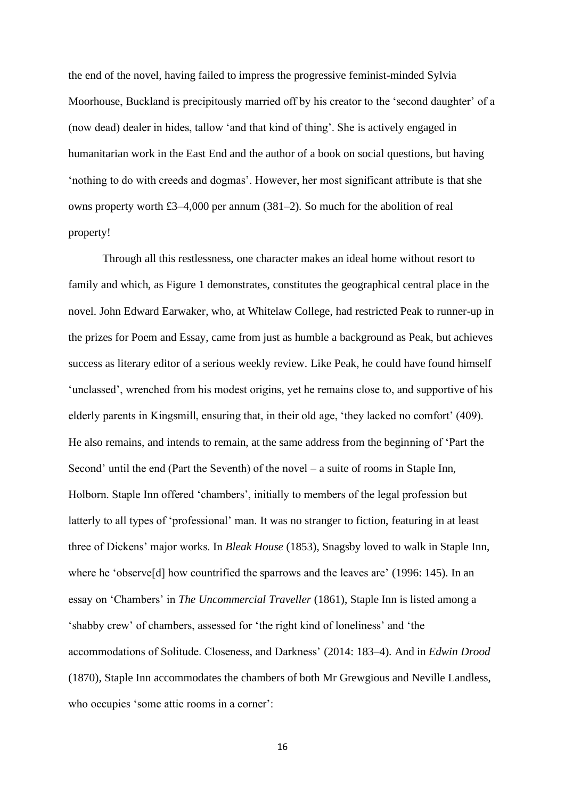the end of the novel, having failed to impress the progressive feminist-minded Sylvia Moorhouse, Buckland is precipitously married off by his creator to the 'second daughter' of a (now dead) dealer in hides, tallow 'and that kind of thing'. She is actively engaged in humanitarian work in the East End and the author of a book on social questions, but having 'nothing to do with creeds and dogmas'. However, her most significant attribute is that she owns property worth £3–4,000 per annum (381–2). So much for the abolition of real property!

Through all this restlessness, one character makes an ideal home without resort to family and which, as Figure 1 demonstrates, constitutes the geographical central place in the novel. John Edward Earwaker, who, at Whitelaw College, had restricted Peak to runner-up in the prizes for Poem and Essay, came from just as humble a background as Peak, but achieves success as literary editor of a serious weekly review. Like Peak, he could have found himself 'unclassed', wrenched from his modest origins, yet he remains close to, and supportive of his elderly parents in Kingsmill, ensuring that, in their old age, 'they lacked no comfort' (409). He also remains, and intends to remain, at the same address from the beginning of 'Part the Second' until the end (Part the Seventh) of the novel – a suite of rooms in Staple Inn, Holborn. Staple Inn offered 'chambers', initially to members of the legal profession but latterly to all types of 'professional' man. It was no stranger to fiction, featuring in at least three of Dickens' major works. In *Bleak House* (1853), Snagsby loved to walk in Staple Inn, where he 'observe[d] how countrified the sparrows and the leaves are' (1996: 145). In an essay on 'Chambers' in *The Uncommercial Traveller* (1861), Staple Inn is listed among a 'shabby crew' of chambers, assessed for 'the right kind of loneliness' and 'the accommodations of Solitude. Closeness, and Darkness' (2014: 183–4). And in *Edwin Drood* (1870), Staple Inn accommodates the chambers of both Mr Grewgious and Neville Landless, who occupies 'some attic rooms in a corner':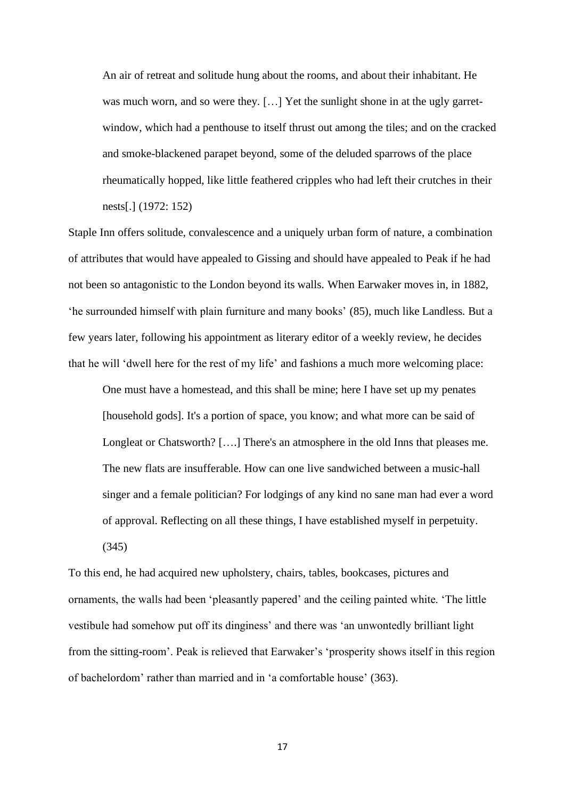An air of retreat and solitude hung about the rooms, and about their inhabitant. He was much worn, and so were they. [...] Yet the sunlight shone in at the ugly garretwindow, which had a penthouse to itself thrust out among the tiles; and on the cracked and smoke-blackened parapet beyond, some of the deluded sparrows of the place rheumatically hopped, like little feathered cripples who had left their crutches in their nests[.] (1972: 152)

Staple Inn offers solitude, convalescence and a uniquely urban form of nature, a combination of attributes that would have appealed to Gissing and should have appealed to Peak if he had not been so antagonistic to the London beyond its walls. When Earwaker moves in, in 1882, 'he surrounded himself with plain furniture and many books' (85), much like Landless. But a few years later, following his appointment as literary editor of a weekly review, he decides that he will 'dwell here for the rest of my life' and fashions a much more welcoming place:

One must have a homestead, and this shall be mine; here I have set up my penates [household gods]. It's a portion of space, you know; and what more can be said of Longleat or Chatsworth? [….] There's an atmosphere in the old Inns that pleases me. The new flats are insufferable. How can one live sandwiched between a music-hall singer and a female politician? For lodgings of any kind no sane man had ever a word of approval. Reflecting on all these things, I have established myself in perpetuity.

(345)

To this end, he had acquired new upholstery, chairs, tables, bookcases, pictures and ornaments, the walls had been 'pleasantly papered' and the ceiling painted white. 'The little vestibule had somehow put off its dinginess' and there was 'an unwontedly brilliant light from the sitting-room'. Peak is relieved that Earwaker's 'prosperity shows itself in this region of bachelordom' rather than married and in 'a comfortable house' (363).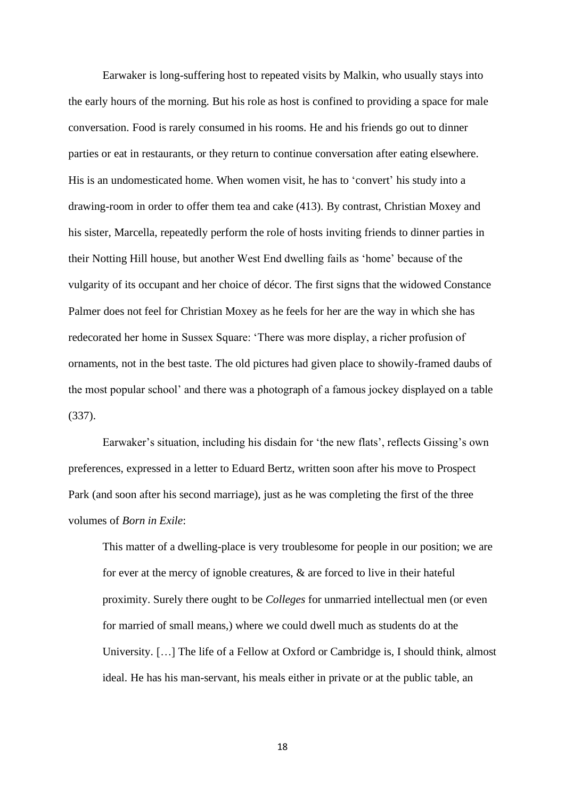Earwaker is long-suffering host to repeated visits by Malkin, who usually stays into the early hours of the morning. But his role as host is confined to providing a space for male conversation. Food is rarely consumed in his rooms. He and his friends go out to dinner parties or eat in restaurants, or they return to continue conversation after eating elsewhere. His is an undomesticated home. When women visit, he has to 'convert' his study into a drawing-room in order to offer them tea and cake (413). By contrast, Christian Moxey and his sister, Marcella, repeatedly perform the role of hosts inviting friends to dinner parties in their Notting Hill house, but another West End dwelling fails as 'home' because of the vulgarity of its occupant and her choice of décor. The first signs that the widowed Constance Palmer does not feel for Christian Moxey as he feels for her are the way in which she has redecorated her home in Sussex Square: 'There was more display, a richer profusion of ornaments, not in the best taste. The old pictures had given place to showily-framed daubs of the most popular school' and there was a photograph of a famous jockey displayed on a table (337).

Earwaker's situation, including his disdain for 'the new flats', reflects Gissing's own preferences, expressed in a letter to Eduard Bertz, written soon after his move to Prospect Park (and soon after his second marriage), just as he was completing the first of the three volumes of *Born in Exile*:

This matter of a dwelling-place is very troublesome for people in our position; we are for ever at the mercy of ignoble creatures, & are forced to live in their hateful proximity. Surely there ought to be *Colleges* for unmarried intellectual men (or even for married of small means,) where we could dwell much as students do at the University. […] The life of a Fellow at Oxford or Cambridge is, I should think, almost ideal. He has his man-servant, his meals either in private or at the public table, an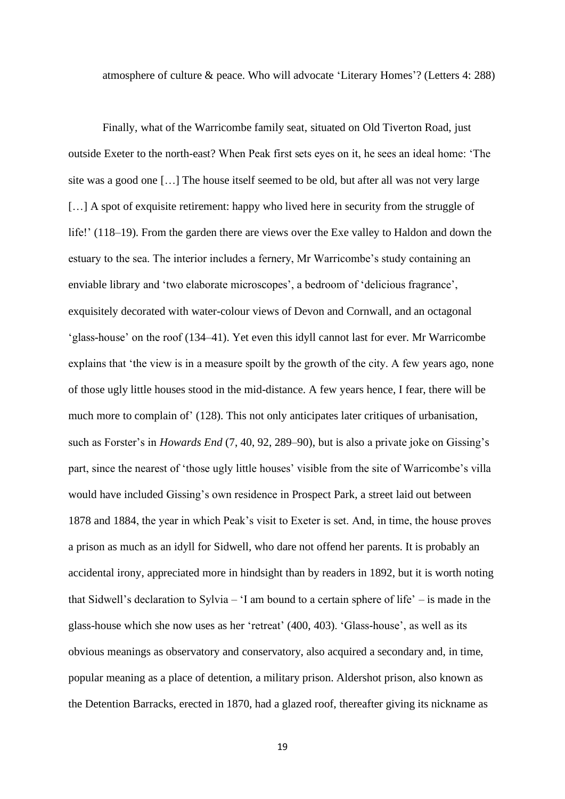atmosphere of culture & peace. Who will advocate 'Literary Homes'? (Letters 4: 288)

Finally, what of the Warricombe family seat, situated on Old Tiverton Road, just outside Exeter to the north-east? When Peak first sets eyes on it, he sees an ideal home: 'The site was a good one […] The house itself seemed to be old, but after all was not very large [...] A spot of exquisite retirement: happy who lived here in security from the struggle of life!' (118–19). From the garden there are views over the Exe valley to Haldon and down the estuary to the sea. The interior includes a fernery, Mr Warricombe's study containing an enviable library and 'two elaborate microscopes', a bedroom of 'delicious fragrance', exquisitely decorated with water-colour views of Devon and Cornwall, and an octagonal 'glass-house' on the roof (134–41). Yet even this idyll cannot last for ever. Mr Warricombe explains that 'the view is in a measure spoilt by the growth of the city. A few years ago, none of those ugly little houses stood in the mid-distance. A few years hence, I fear, there will be much more to complain of' (128). This not only anticipates later critiques of urbanisation, such as Forster's in *Howards End* (7, 40, 92, 289–90), but is also a private joke on Gissing's part, since the nearest of 'those ugly little houses' visible from the site of Warricombe's villa would have included Gissing's own residence in Prospect Park, a street laid out between 1878 and 1884, the year in which Peak's visit to Exeter is set. And, in time, the house proves a prison as much as an idyll for Sidwell, who dare not offend her parents. It is probably an accidental irony, appreciated more in hindsight than by readers in 1892, but it is worth noting that Sidwell's declaration to Sylvia – 'I am bound to a certain sphere of life' – is made in the glass-house which she now uses as her 'retreat' (400, 403). 'Glass-house', as well as its obvious meanings as observatory and conservatory, also acquired a secondary and, in time, popular meaning as a place of detention, a military prison. Aldershot prison, also known as the Detention Barracks, erected in 1870, had a glazed roof, thereafter giving its nickname as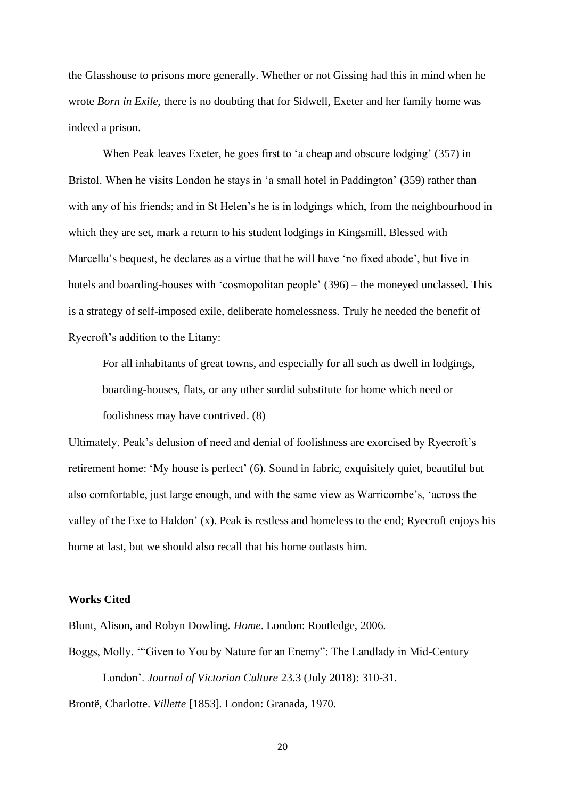the Glasshouse to prisons more generally. Whether or not Gissing had this in mind when he wrote *Born in Exile*, there is no doubting that for Sidwell, Exeter and her family home was indeed a prison.

When Peak leaves Exeter, he goes first to 'a cheap and obscure lodging' (357) in Bristol. When he visits London he stays in 'a small hotel in Paddington' (359) rather than with any of his friends; and in St Helen's he is in lodgings which, from the neighbourhood in which they are set, mark a return to his student lodgings in Kingsmill. Blessed with Marcella's bequest, he declares as a virtue that he will have 'no fixed abode', but live in hotels and boarding-houses with 'cosmopolitan people' (396) – the moneyed unclassed. This is a strategy of self-imposed exile, deliberate homelessness. Truly he needed the benefit of Ryecroft's addition to the Litany:

For all inhabitants of great towns, and especially for all such as dwell in lodgings, boarding-houses, flats, or any other sordid substitute for home which need or foolishness may have contrived. (8)

Ultimately, Peak's delusion of need and denial of foolishness are exorcised by Ryecroft's retirement home: 'My house is perfect' (6). Sound in fabric, exquisitely quiet, beautiful but also comfortable, just large enough, and with the same view as Warricombe's, 'across the valley of the Exe to Haldon' (x). Peak is restless and homeless to the end; Ryecroft enjoys his home at last, but we should also recall that his home outlasts him.

# **Works Cited**

Blunt, Alison, and Robyn Dowling. *Home*. London: Routledge, 2006.

Boggs, Molly. '"Given to You by Nature for an Enemy": The Landlady in Mid-Century London'. *Journal of Victorian Culture* 23.3 (July 2018): 310-31.

Brontë, Charlotte. *Villette* [1853]*.* London: Granada, 1970.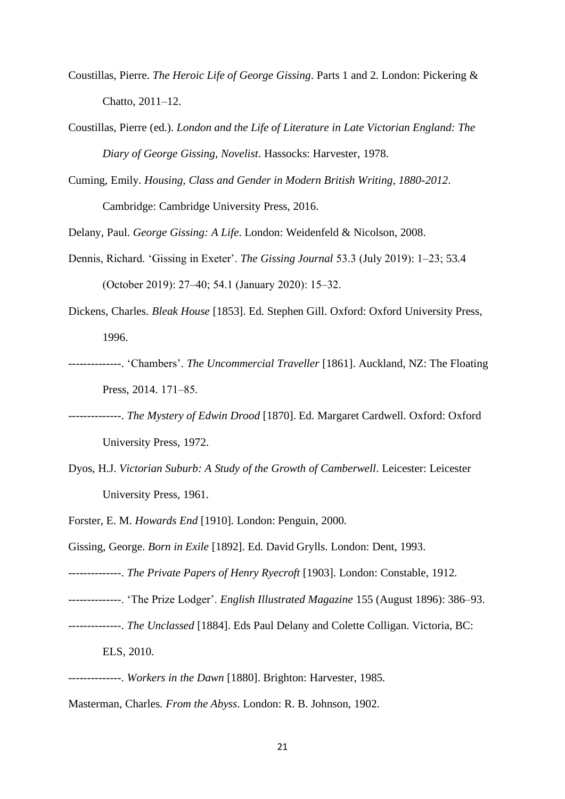- Coustillas, Pierre. *The Heroic Life of George Gissing*. Parts 1 and 2. London: Pickering & Chatto, 2011–12.
- Coustillas, Pierre (ed.). *London and the Life of Literature in Late Victorian England: The Diary of George Gissing, Novelist*. Hassocks: Harvester, 1978.
- Cuming, Emily. *Housing, Class and Gender in Modern British Writing, 1880-2012*. Cambridge: Cambridge University Press, 2016.
- Delany, Paul. *George Gissing: A Life*. London: Weidenfeld & Nicolson, 2008.
- Dennis, Richard. 'Gissing in Exeter'. *The Gissing Journal* 53.3 (July 2019): 1‒23; 53.4 (October 2019): 27‒40; 54.1 (January 2020): 15‒32.
- Dickens, Charles. *Bleak House* [1853]. Ed. Stephen Gill. Oxford: Oxford University Press, 1996.
- --------------. 'Chambers'. *The Uncommercial Traveller* [1861]. Auckland, NZ: The Floating Press, 2014. 171–85.
- --------------. *The Mystery of Edwin Drood* [1870]. Ed. Margaret Cardwell. Oxford: Oxford University Press, 1972.
- Dyos, H.J. *Victorian Suburb: A Study of the Growth of Camberwell*. Leicester: Leicester University Press, 1961.
- Forster, E. M. *Howards End* [1910]. London: Penguin, 2000.
- Gissing, George. *Born in Exile* [1892]. Ed. David Grylls. London: Dent, 1993.
- --------------. *The Private Papers of Henry Ryecroft* [1903]. London: Constable, 1912.
- --------------. 'The Prize Lodger'. *English Illustrated Magazine* 155 (August 1896): 386–93.
- --------------. *The Unclassed* [1884]. Eds Paul Delany and Colette Colligan. Victoria, BC: ELS, 2010.
- --------------. *Workers in the Dawn* [1880]. Brighton: Harvester, 1985.
- Masterman, Charles. *From the Abyss*. London: R. B. Johnson, 1902.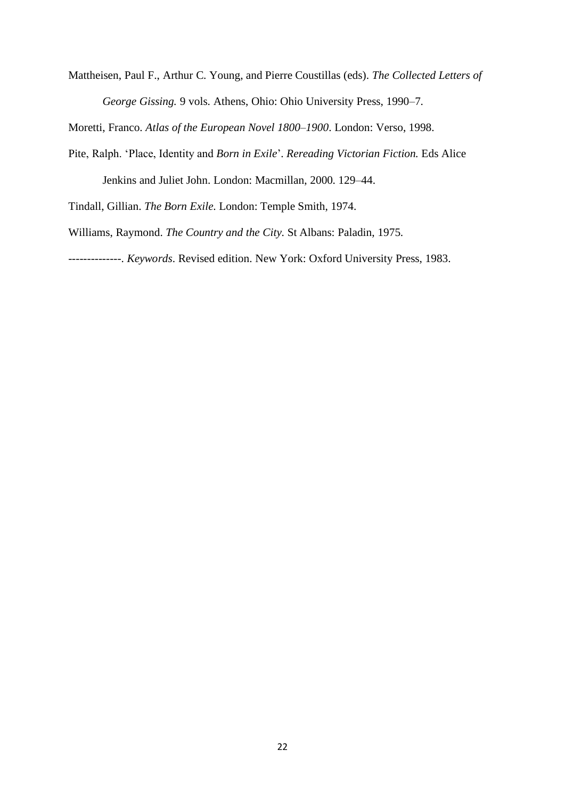Mattheisen, Paul F., Arthur C. Young, and Pierre Coustillas (eds). *The Collected Letters of George Gissing.* 9 vols. Athens, Ohio: Ohio University Press, 1990–7.

Moretti, Franco. *Atlas of the European Novel 1800–1900*. London: Verso, 1998.

Pite, Ralph. 'Place, Identity and *Born in Exile*'. *Rereading Victorian Fiction.* Eds Alice Jenkins and Juliet John. London: Macmillan, 2000. 129–44.

Tindall, Gillian. *The Born Exile*. London: Temple Smith, 1974.

Williams, Raymond. *The Country and the City*. St Albans: Paladin, 1975.

--------------. *Keywords*. Revised edition. New York: Oxford University Press, 1983.